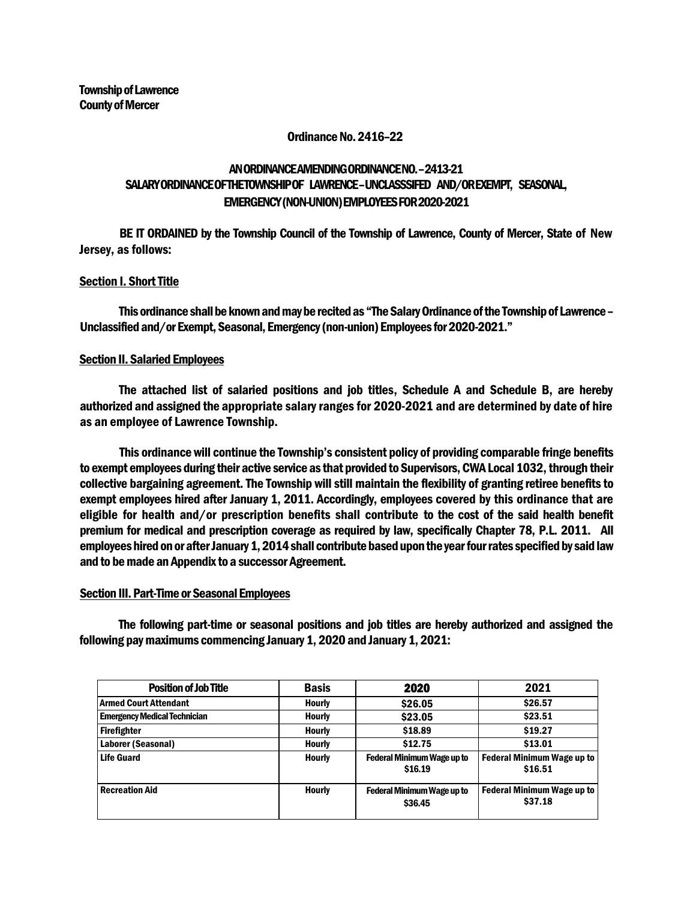### Ordinance No. 2416–22

# AN ORDINANCE AMENDING ORDINANCE NO. –2413-21 SALARYORDINANCE OFTHETOWNSHIPOF LAWRENCE–UNCLASSSIFED AND/OR EXEMPT, SEASONAL, EMERGENCY (NON-UNION) EMPLOYEES FOR 2020-2021

BE IT ORDAINED by the Township Council of the Township of Lawrence, County of Mercer, State of New Jersey, as follows:

## Section I. Short Title

This ordinance shall be known and may be recited as "The Salary Ordinance of the Township of Lawrence – Unclassified and/or Exempt, Seasonal, Emergency (non-union) Employees for 2020-2021."

### Section II. Salaried Employees

The attached list of salaried positions and job titles, Schedule A and Schedule B, are hereby authorized and assigned the appropriate salary ranges for 2020-2021 and are determined by date of hire as an employee of Lawrence Township.

This ordinance will continue the Township's consistent policy of providing comparable fringe benefits to exempt employees during their active service as that provided to Supervisors, CWA Local 1032, through their collective bargaining agreement. The Township will still maintain the flexibility of granting retiree benefits to exempt employees hired after January 1, 2011. Accordingly, employees covered by this ordinance that are eligible for health and/or prescription benefits shall contribute to the cost of the said health benefit premium for medical and prescription coverage as required by law, specifically Chapter 78, P.L. 2011. All employees hired on or after January 1, 2014 shall contribute based upon the year four rates specified by said law and to be made an Appendix to a successor Agreement.

### Section III. Part-Time or Seasonal Employees

The following part-time or seasonal positions and job titles are hereby authorized and assigned the following pay maximums commencing January 1, 2020 and January 1, 2021:

| <b>Position of Job Title</b>        | <b>Basis</b>  | 2020                                         | 2021<br>\$26.57                              |  |
|-------------------------------------|---------------|----------------------------------------------|----------------------------------------------|--|
| Armed Court Attendant               | <b>Hourly</b> | \$26.05                                      |                                              |  |
| <b>Emergency Medical Technician</b> | <b>Hourly</b> | \$23.05                                      | \$23.51                                      |  |
| Firefighter                         | <b>Hourly</b> | \$18.89                                      | \$19.27                                      |  |
| Laborer (Seasonal)                  | <b>Hourly</b> | \$12.75                                      | \$13.01                                      |  |
| <b>Life Guard</b>                   | <b>Hourly</b> | <b>Federal Minimum Wage up to</b><br>\$16.19 | <b>Federal Minimum Wage up to</b><br>\$16.51 |  |
| <b>Recreation Aid</b>               | <b>Hourly</b> | <b>Federal Minimum Wage up to</b><br>\$36.45 | <b>Federal Minimum Wage up to</b><br>\$37.18 |  |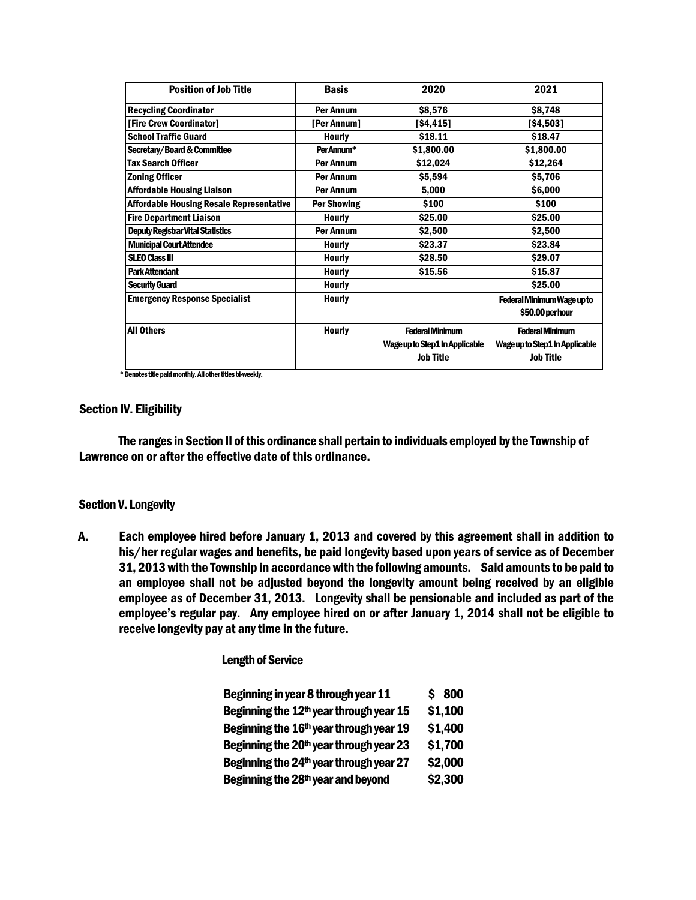| <b>Position of Job Title</b>                    | <b>Basis</b>       | 2020                           | 2021                           |  |
|-------------------------------------------------|--------------------|--------------------------------|--------------------------------|--|
| <b>Recycling Coordinator</b>                    | Per Annum          | \$8,576                        | \$8,748                        |  |
| [Fire Crew Coordinator]                         | [Per Annum]        | [\$4,415]                      | [\$4,503]                      |  |
| <b>School Traffic Guard</b>                     | <b>Hourly</b>      | \$18.11                        | \$18.47                        |  |
| Secretary/Board & Committee                     | PerAnnum*          | \$1,800.00                     | \$1,800.00                     |  |
| <b>Tax Search Officer</b>                       | Per Annum          | \$12,024                       | \$12,264                       |  |
| <b>Zoning Officer</b>                           | Per Annum          | \$5,594                        | \$5,706                        |  |
| <b>Affordable Housing Liaison</b>               | <b>Per Annum</b>   | 5,000                          | \$6,000                        |  |
| <b>Affordable Housing Resale Representative</b> | <b>Per Showing</b> | \$100                          | \$100                          |  |
| <b>Fire Department Liaison</b>                  | <b>Hourly</b>      | \$25.00                        | \$25.00                        |  |
| <b>Deputy Registrar Vital Statistics</b>        | Per Annum          | \$2,500                        | \$2,500                        |  |
| <b>Municipal Court Attendee</b>                 | <b>Hourly</b>      | \$23.37                        | \$23.84                        |  |
| <b>SLEO Class III</b>                           | <b>Hourly</b>      | \$28.50                        | \$29.07                        |  |
| <b>Park Attendant</b>                           | <b>Hourly</b>      | \$15.56                        | \$15.87                        |  |
| <b>Security Guard</b>                           | <b>Hourly</b>      |                                | \$25.00                        |  |
| <b>Emergency Response Specialist</b>            | <b>Hourly</b>      |                                | Federal Minimum Wage up to     |  |
|                                                 |                    |                                | \$50.00 per hour               |  |
| <b>All Others</b>                               | <b>Hourly</b>      | <b>Federal Minimum</b>         | <b>Federal Minimum</b>         |  |
|                                                 |                    | Wage up to Step1 In Applicable | Wage up to Step1 In Applicable |  |
|                                                 |                    | <b>Job Title</b>               | <b>Job Title</b>               |  |

\* Denotes title paid monthly. All other titles bi-weekly.

### **Section IV. Eligibility**

The ranges in Section II of this ordinance shall pertain to individuals employed by the Township of Lawrence on or after the effective date of this ordinance.

#### **Section V. Longevity**

A. Each employee hired before January 1, 2013 and covered by this agreement shall in addition to his/her regular wages and benefits, be paid longevity based upon years of service as of December 31, 2013 with the Township in accordance with the following amounts. Said amounts to be paid to an employee shall not be adjusted beyond the longevity amount being received by an eligible employee as of December 31, 2013. Longevity shall be pensionable and included as part of the employee's regular pay. Any employee hired on or after January 1, 2014 shall not be eligible to receive longevity pay at any time in the future.

#### Length of Service

| Beginning in year 8 through year 11                 | \$800   |
|-----------------------------------------------------|---------|
| Beginning the 12 <sup>th</sup> year through year 15 | \$1,100 |
| Beginning the 16 <sup>th</sup> year through year 19 | \$1,400 |
| Beginning the 20 <sup>th</sup> year through year 23 | \$1,700 |
| Beginning the 24 <sup>th</sup> year through year 27 | \$2,000 |
| Beginning the 28 <sup>th</sup> year and beyond      | \$2,300 |